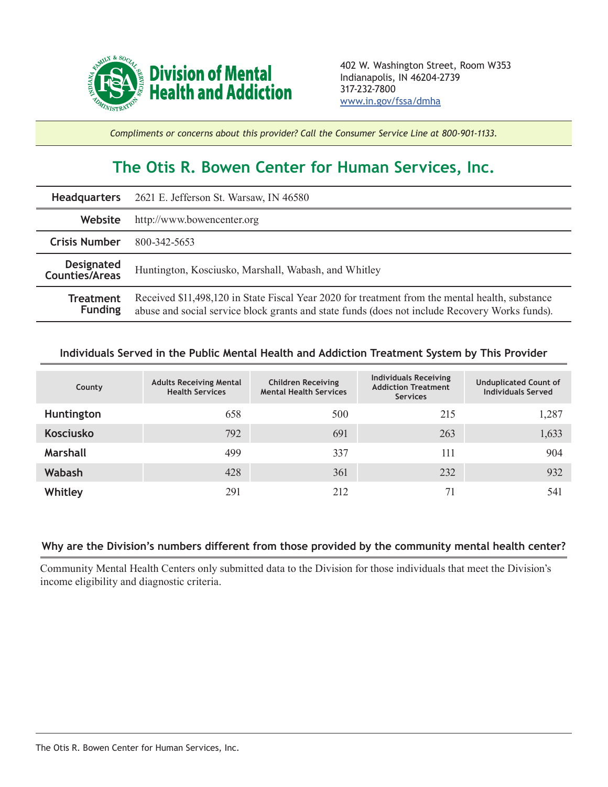

*Compliments or concerns about this provider? Call the Consumer Service Line at 800-901-1133.*

## **The Otis R. Bowen Center for Human Services, Inc.**

|                                     | <b>Headquarters</b> 2621 E. Jefferson St. Warsaw, IN 46580                                                                                                                                        |  |  |  |
|-------------------------------------|---------------------------------------------------------------------------------------------------------------------------------------------------------------------------------------------------|--|--|--|
| Website                             | http://www.bowencenter.org                                                                                                                                                                        |  |  |  |
| <b>Crisis Number</b>                | 800-342-5653                                                                                                                                                                                      |  |  |  |
| <b>Designated</b><br>Counties/Areas | Huntington, Kosciusko, Marshall, Wabash, and Whitley                                                                                                                                              |  |  |  |
| <b>Treatment</b><br><b>Funding</b>  | Received \$11,498,120 in State Fiscal Year 2020 for treatment from the mental health, substance<br>abuse and social service block grants and state funds (does not include Recovery Works funds). |  |  |  |

## **Individuals Served in the Public Mental Health and Addiction Treatment System by This Provider**

| County           | <b>Adults Receiving Mental</b><br><b>Health Services</b> | <b>Children Receiving</b><br><b>Mental Health Services</b> | <b>Individuals Receiving</b><br><b>Addiction Treatment</b><br><b>Services</b> | <b>Unduplicated Count of</b><br><b>Individuals Served</b> |
|------------------|----------------------------------------------------------|------------------------------------------------------------|-------------------------------------------------------------------------------|-----------------------------------------------------------|
| Huntington       | 658                                                      | 500                                                        | 215                                                                           | 1,287                                                     |
| <b>Kosciusko</b> | 792                                                      | 691                                                        | 263                                                                           | 1,633                                                     |
| <b>Marshall</b>  | 499                                                      | 337                                                        | 111                                                                           | 904                                                       |
| Wabash           | 428                                                      | 361                                                        | 232                                                                           | 932                                                       |
| Whitley          | 291                                                      | 212                                                        | 71                                                                            | 541                                                       |

## **Why are the Division's numbers different from those provided by the community mental health center?**

Community Mental Health Centers only submitted data to the Division for those individuals that meet the Division's income eligibility and diagnostic criteria.